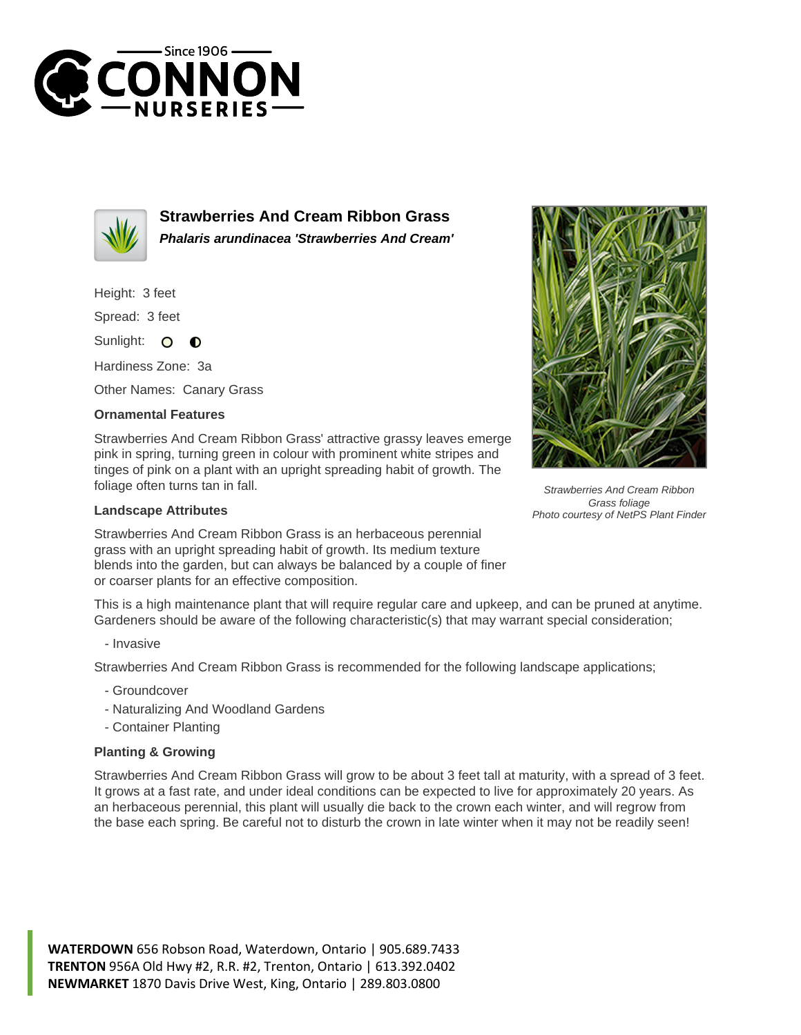



**Strawberries And Cream Ribbon Grass Phalaris arundinacea 'Strawberries And Cream'**

Height: 3 feet

Spread: 3 feet

Sunlight:  $\circ$  $\bullet$ 

Hardiness Zone: 3a

Other Names: Canary Grass

## **Ornamental Features**

Strawberries And Cream Ribbon Grass' attractive grassy leaves emerge pink in spring, turning green in colour with prominent white stripes and tinges of pink on a plant with an upright spreading habit of growth. The foliage often turns tan in fall.

## **Landscape Attributes**

Strawberries And Cream Ribbon Grass is an herbaceous perennial grass with an upright spreading habit of growth. Its medium texture blends into the garden, but can always be balanced by a couple of finer or coarser plants for an effective composition.

This is a high maintenance plant that will require regular care and upkeep, and can be pruned at anytime. Gardeners should be aware of the following characteristic(s) that may warrant special consideration;

- Invasive

Strawberries And Cream Ribbon Grass is recommended for the following landscape applications;

- Groundcover
- Naturalizing And Woodland Gardens
- Container Planting

## **Planting & Growing**

Strawberries And Cream Ribbon Grass will grow to be about 3 feet tall at maturity, with a spread of 3 feet. It grows at a fast rate, and under ideal conditions can be expected to live for approximately 20 years. As an herbaceous perennial, this plant will usually die back to the crown each winter, and will regrow from the base each spring. Be careful not to disturb the crown in late winter when it may not be readily seen!

**WATERDOWN** 656 Robson Road, Waterdown, Ontario | 905.689.7433 **TRENTON** 956A Old Hwy #2, R.R. #2, Trenton, Ontario | 613.392.0402 **NEWMARKET** 1870 Davis Drive West, King, Ontario | 289.803.0800



Strawberries And Cream Ribbon Grass foliage Photo courtesy of NetPS Plant Finder